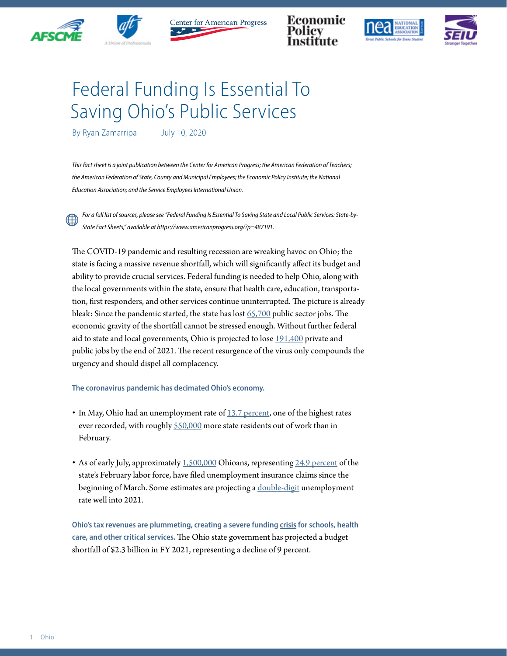



Center for American Progress

Economic





## Federal Funding Is Essential To Saving Ohio's Public Services

By Ryan Zamarripa July 10, 2020

*This fact sheet is a joint publication between the Center for American Progress; the American Federation of Teachers; the American Federation of State, County and Municipal Employees; the Economic Policy Institute; the National Education Association; and the Service Employees International Union.*

*For a full list of sources, please see "Federal Funding Is Essential To Saving State and Local Public Services: State-by-State Fact Sheets," available at https://www.americanprogress.org/?p=487191.*

The COVID-19 pandemic and resulting recession are wreaking havoc on Ohio; the state is facing a massive revenue shortfall, which will significantly affect its budget and ability to provide crucial services. Federal funding is needed to help Ohio, along with the local governments within the state, ensure that health care, education, transportation, first responders, and other services continue uninterrupted. The picture is already bleak: Since the pandemic started, the state has lost [65,700](https://www.bls.gov/news.release/laus.t03.htm) public sector jobs. The economic gravity of the shortfall cannot be stressed enough. Without further federal aid to state and local governments, Ohio is projected to lose [191,400](https://www.epi.org/blog/without-federal-aid-to-state-and-local-governments-5-3-million-workers-will-likely-lose-their-jobs-by-the-end-of-2021-see-estimated-job-losses-by-state/) private and public jobs by the end of 2021. The recent resurgence of the virus only compounds the urgency and should dispel all complacency.

## **The coronavirus pandemic has decimated Ohio's economy.**

- In May, Ohio had an unemployment rate of  $13.7$  percent, one of the highest rates ever recorded, with roughly [550,000](https://www.bls.gov/news.release/laus.t03.htm) more state residents out of work than in February.
- As of early July, approximately [1,500,000](https://oui.doleta.gov/unemploy/claims_arch.asp) Ohioans, representing [24.9 percent](https://www.bls.gov/news.release/laus.t01.htm) of the state's February labor force, have filed unemployment insurance claims since the beginning of March. Some estimates are projecting a [double-digit](http://www.oecd.org/economic-outlook/june-2020/#:~:text=Global%20economic%20activity%20falls%206,across%20the%20economy%20by%202021.) unemployment rate well into 2021.

**Ohio's tax revenues are plummeting, creating a severe funding [crisis](https://www.cbpp.org/research/state-budget-and-tax/states-grappling-with-hit-to-tax-collections) for schools, health care, and other critical services.** The Ohio state government has projected a budget shortfall of \$2.3 billion in FY 2021, representing a decline of 9 percent.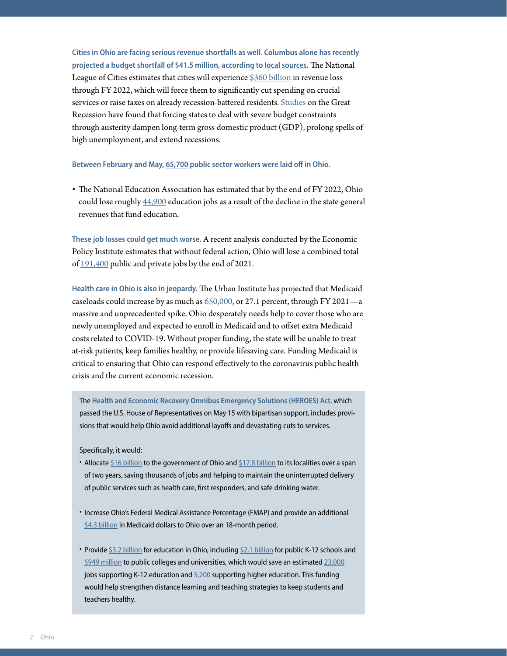**Cities in Ohio are facing serious revenue shortfalls as well. Columbus alone has recently projected a budget shortfall of \$41.5 million, according to [local sources.](https://www.bizjournals.com/columbus/news/2020/06/09/city-of-columbus-projects-49-budget-hit-from-cov.html)** The National League of Cities estimates that cities will experience [\\$360 billion](https://www.nlc.org/sites/default/files/users/user52651/Cities%20Are%20Essential%20Revenue%20Loss_One%20Pager.pdf) in revenue loss through FY 2022, which will force them to significantly cut spending on crucial services or raise taxes on already recession-battered residents. [Studies](https://www.americanprogress.org/issues/economy/reports/2014/05/30/90621/what-have-we-learned-about-austerity-since-the-great-recession/) on the Great Recession have found that forcing states to deal with severe budget constraints through austerity dampen long-term gross domestic product (GDP), prolong spells of high unemployment, and extend recessions.

**Between February and May, [65,700](https://www.bls.gov/news.release/laus.t03.htm) public sector workers were laid off in Ohio.**

• The National Education Association has estimated that by the end of FY 2022, Ohio could lose roughly [44,900](https://educationvotes.nea.org/wp-content/uploads/2020/06/Revised-NEA-Estimates-in-Support-of-the-HEROES-Act-06-06-2020.pdf?_ga=2.17671737.1424969520.1591579607-1012899167.1494591151) education jobs as a result of the decline in the state general revenues that fund education.

**These job losses could get much worse.** A recent analysis conducted by the Economic Policy Institute estimates that without federal action, Ohio will lose a combined total of [191,400](https://www.epi.org/blog/without-federal-aid-to-state-and-local-governments-5-3-million-workers-will-likely-lose-their-jobs-by-the-end-of-2021-see-estimated-job-losses-by-state/) public and private jobs by the end of 2021.

**Health care in Ohio is also in jeopardy.** The Urban Institute has projected that Medicaid caseloads could increase by as much as [650,000,](https://www.urban.org/research/publication/how-covid-19-recession-could-affect-health-insurance-coverage/view/full_report) or 27.1 percent, through FY 2021—a massive and unprecedented spike. Ohio desperately needs help to cover those who are newly unemployed and expected to enroll in Medicaid and to offset extra Medicaid costs related to COVID-19. Without proper funding, the state will be unable to treat at-risk patients, keep families healthy, or provide lifesaving care. Funding Medicaid is critical to ensuring that Ohio can respond effectively to the coronavirus public health crisis and the current economic recession.

The **Health and Economic Recovery Omnibus Emergency Solutions (HEROES) Act**, which passed the U.S. House of Representatives on May 15 with bipartisan support, includes provisions that would help Ohio avoid additional layoffs and devastating cuts to services.

Specifically, it would:

- Allocate [\\$16 billion](https://www.speaker.gov/heroesact) to the government of Ohio and [\\$17.8 billion](https://www.speaker.gov/heroesact) to its localities over a span of two years, saving thousands of jobs and helping to maintain the uninterrupted delivery of public services such as health care, first responders, and safe drinking water.
- Increase Ohio's Federal Medical Assistance Percentage (FMAP) and provide an additional [\\$4.3 billion](https://www.cbpp.org/blog/pelosi-bill-includes-much-needed-medicaid-funding-for-states) in Medicaid dollars to Ohio over an 18-month period.
- Provide [\\$3.2 billion](https://educationvotes.nea.org/wp-content/uploads/2020/06/Revised-NEA-Estimates-in-Support-of-the-HEROES-Act-06-06-2020.pdf?_ga=2.17671737.1424969520.1591579607-1012899167.1494591151) for education in Ohio, including [\\$2.1 billion](https://educationvotes.nea.org/wp-content/uploads/2020/06/Revised-NEA-Estimates-in-Support-of-the-HEROES-Act-06-06-2020.pdf?_ga=2.17671737.1424969520.1591579607-1012899167.1494591151) for public K-12 schools and [\\$949 million](https://educationvotes.nea.org/wp-content/uploads/2020/06/Revised-NEA-Estimates-in-Support-of-the-HEROES-Act-06-06-2020.pdf?_ga=2.17671737.1424969520.1591579607-1012899167.1494591151) to public colleges and universities, which would save an estimated [23,000](https://educationvotes.nea.org/wp-content/uploads/2020/06/Revised-NEA-Estimates-in-Support-of-the-HEROES-Act-06-06-2020.pdf?_ga=2.17671737.1424969520.1591579607-1012899167.1494591151) jobs supporting K-12 education and [5,200](https://educationvotes.nea.org/wp-content/uploads/2020/06/Revised-NEA-Estimates-in-Support-of-the-HEROES-Act-06-06-2020.pdf?_ga=2.17671737.1424969520.1591579607-1012899167.1494591151) supporting higher education. This funding would help strengthen distance learning and teaching strategies to keep students and teachers healthy.